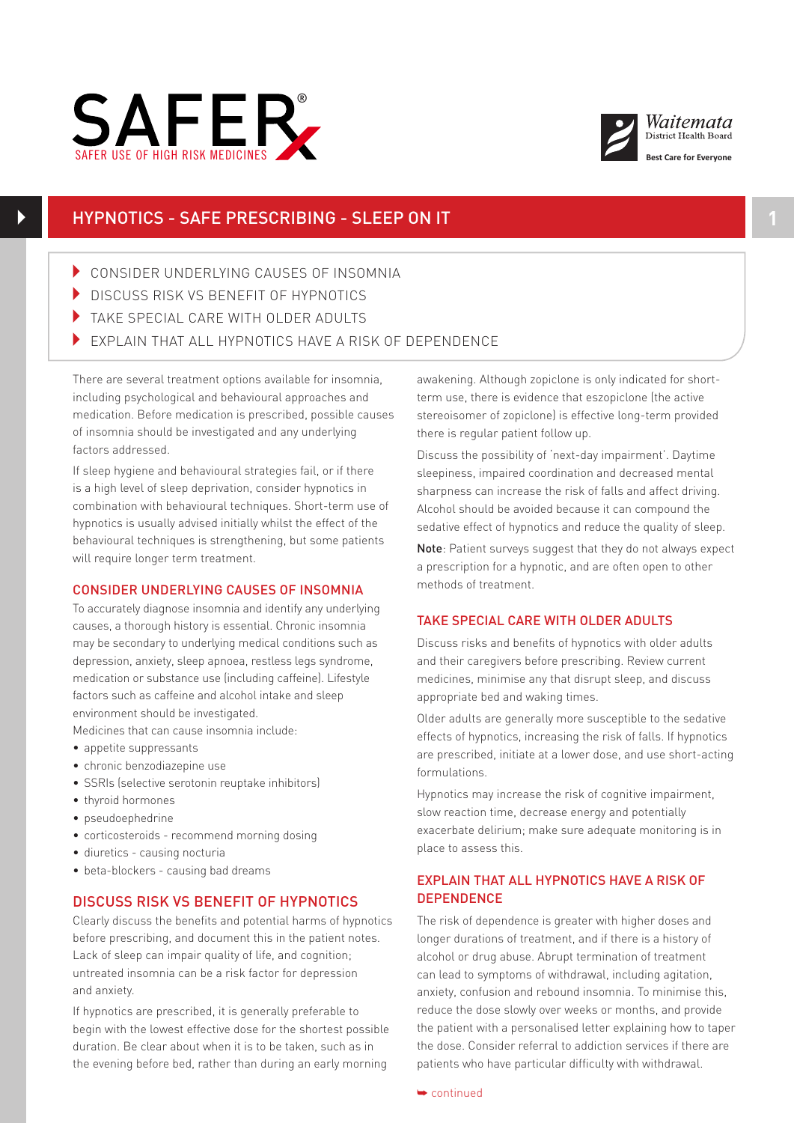

 $\blacktriangleright$ 



## HYPNOTICS - SAFE PRESCRIBING - SLEEP ON IT **1**

- 4 CONSIDER UNDERLYING CAUSES OF INSOMNIA
- DISCUSS RISK VS BENEFIT OF HYPNOTICS
- In take special care with older adults
- EXPLAIN THAT ALL HYPNOTICS HAVE A RISK OF DEPENDENCE

There are several treatment options available for insomnia, including psychological and behavioural approaches and medication. Before medication is prescribed, possible causes of insomnia should be investigated and any underlying factors addressed.

If sleep hygiene and behavioural strategies fail, or if there is a high level of sleep deprivation, consider hypnotics in combination with behavioural techniques. Short-term use of hypnotics is usually advised initially whilst the effect of the  $\overline{\phantom{a}}$ behavioural techniques is strengthening, but some patients will require longer term treatment.

## CONSIDER UNDERLYING CAUSES OF INSOMNIA

To accurately diagnose insomnia and identify any underlying causes, a thorough history is essential. Chronic insomnia may be secondary to underlying medical conditions such as depression, anxiety, sleep apnoea, restless legs syndrome, medication or substance use (including caffeine). Lifestyle factors such as caffeine and alcohol intake and sleep environment should be investigated.

Medicines that can cause insomnia include:

- appetite suppressants
- chronic benzodiazepine use
- SSRIs (selective serotonin reuptake inhibitors)
- thyroid hormones
- pseudoephedrine
- corticosteroids recommend morning dosing
- diuretics causing nocturia
- beta-blockers causing bad dreams

## DISCUSS RISK VS BENEFIT OF HYPNOTICS

Clearly discuss the benefits and potential harms of hypnotics before prescribing, and document this in the patient notes. Lack of sleep can impair quality of life, and cognition; untreated insomnia can be a risk factor for depression and anxiety.

If hypnotics are prescribed, it is generally preferable to begin with the lowest effective dose for the shortest possible duration. Be clear about when it is to be taken, such as in the evening before bed, rather than during an early morning

awakening. Although zopiclone is only indicated for shortterm use, there is evidence that eszopiclone (the active stereoisomer of zopiclone) is effective long-term provided there is regular patient follow up.

Discuss the possibility of 'next-day impairment'. Daytime sleepiness, impaired coordination and decreased mental sharpness can increase the risk of falls and affect driving. Alcohol should be avoided because it can compound the sedative effect of hypnotics and reduce the quality of sleep.

Note: Patient surveys suggest that they do not always expect a prescription for a hypnotic, and are often open to other methods of treatment.

## TAKE SPECIAL CARE WITH OLDER ADULTS

Discuss risks and benefits of hypnotics with older adults and their caregivers before prescribing. Review current medicines, minimise any that disrupt sleep, and discuss appropriate bed and waking times.

Older adults are generally more susceptible to the sedative effects of hypnotics, increasing the risk of falls. If hypnotics are prescribed, initiate at a lower dose, and use short-acting formulations.

Hypnotics may increase the risk of cognitive impairment, slow reaction time, decrease energy and potentially exacerbate delirium; make sure adequate monitoring is in place to assess this.

## EXPLAIN THAT ALL HYPNOTICS HAVE A RISK OF **DEPENDENCE**

The risk of dependence is greater with higher doses and longer durations of treatment, and if there is a history of alcohol or drug abuse. Abrupt termination of treatment can lead to symptoms of withdrawal, including agitation, anxiety, confusion and rebound insomnia. To minimise this, reduce the dose slowly over weeks or months, and provide the patient with a personalised letter explaining how to taper the dose. Consider referral to addiction services if there are patients who have particular difficulty with withdrawal.